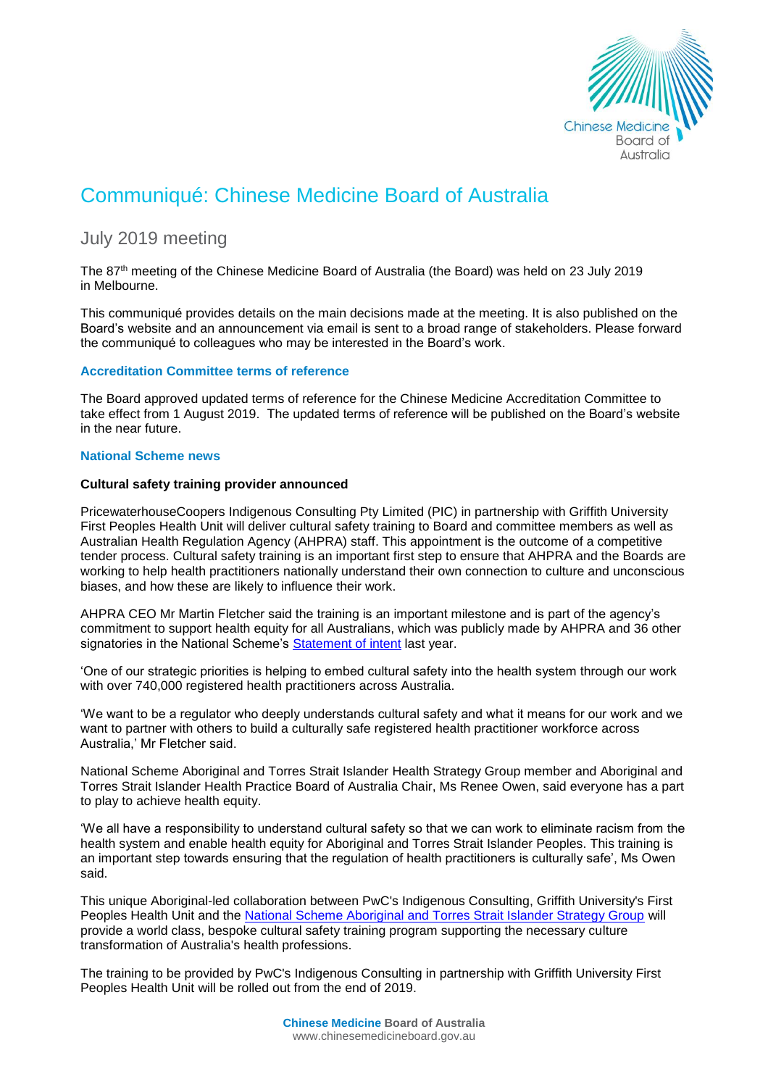

# Communiqué: Chinese Medicine Board of Australia

# July 2019 meeting

The 87 th meeting of the Chinese Medicine Board of Australia (the Board) was held on 23 July 2019 in Melbourne.

This communiqué provides details on the main decisions made at the meeting. It is also published on the Board's [website](http://www.chinesemedicineboard.gov.au/) and an announcement via email is sent to a broad range of stakeholders. Please forward the communiqué to colleagues who may be interested in the Board's work.

# **Accreditation Committee terms of reference**

The Board approved updated terms of reference for the Chinese Medicine Accreditation Committee to take effect from 1 August 2019. The updated terms of reference will be published on the Board's website in the near future.

# **National Scheme news**

# **Cultural safety training provider announced**

PricewaterhouseCoopers Indigenous Consulting Pty Limited (PIC) in partnership with Griffith University First Peoples Health Unit will deliver cultural safety training to Board and committee members as well as Australian Health Regulation Agency (AHPRA) staff. This appointment is the outcome of a competitive tender process. Cultural safety training is an important first step to ensure that AHPRA and the Boards are working to help health practitioners nationally understand their own connection to culture and unconscious biases, and how these are likely to influence their work.

AHPRA CEO Mr Martin Fletcher said the training is an important milestone and is part of the agency's commitment to support health equity for all Australians, which was publicly made by AHPRA and 36 other signatories in the National Scheme's [Statement of intent](https://www.ahpra.gov.au/About-AHPRA/Aboriginal-and-Torres-Strait-Islander-Health-Strategy/Statement-of-intent.aspx) last year.

'One of our strategic priorities is helping to embed cultural safety into the health system through our work with over 740,000 registered health practitioners across Australia.

'We want to be a regulator who deeply understands cultural safety and what it means for our work and we want to partner with others to build a culturally safe registered health practitioner workforce across Australia,' Mr Fletcher said.

National Scheme Aboriginal and Torres Strait Islander Health Strategy Group member and Aboriginal and Torres Strait Islander Health Practice Board of Australia Chair, Ms Renee Owen, said everyone has a part to play to achieve health equity.

'We all have a responsibility to understand cultural safety so that we can work to eliminate racism from the health system and enable health equity for Aboriginal and Torres Strait Islander Peoples. This training is an important step towards ensuring that the regulation of health practitioners is culturally safe', Ms Owen said.

This unique Aboriginal-led collaboration between PwC's Indigenous Consulting, Griffith University's First Peoples Health Unit and the [National Scheme Aboriginal and Torres Strait Islander Strategy Group](https://www.ahpra.gov.au/About-AHPRA/Aboriginal-and-Torres-Strait-Islander-Health-Strategy.aspx) will provide a world class, bespoke cultural safety training program supporting the necessary culture transformation of Australia's health professions.

The training to be provided by PwC's Indigenous Consulting in partnership with Griffith University First Peoples Health Unit will be rolled out from the end of 2019.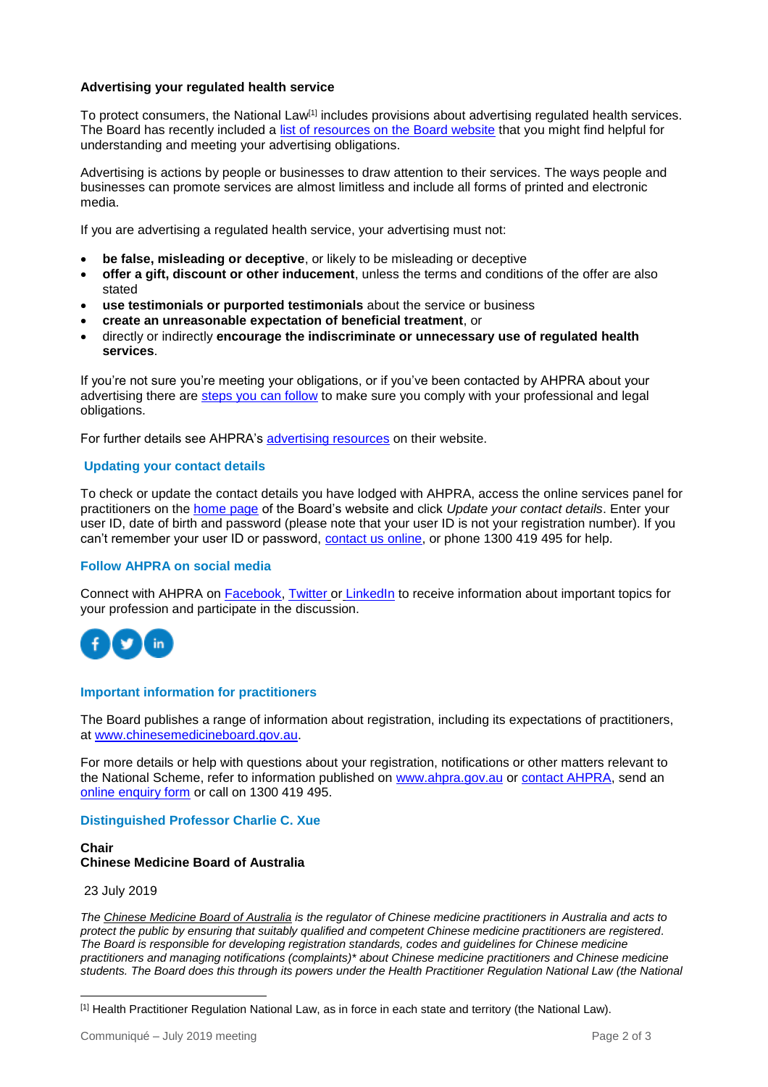# **Advertising your regulated health service**

To protect consumers, the National Law<sup>[1]</sup> includes provisions about advertising regulated health services. The Board has recently included a [list of resources on the Board website](https://www.chinesemedicineboard.gov.au/Codes-Guidelines/Advertising-a-regulated-health-service.aspx) that you might find helpful for understanding and meeting your advertising obligations.

Advertising is actions by people or businesses to draw attention to their services. The ways people and businesses can promote services are almost limitless and include all forms of printed and electronic media.

If you are advertising a regulated health service, your advertising must not:

- **be false, misleading or deceptive**, or likely to be misleading or deceptive
- **offer a gift, discount or other inducement**, unless the terms and conditions of the offer are also stated
- **use testimonials or purported testimonials** about the service or business
- **create an unreasonable expectation of beneficial treatment**, or
- directly or indirectly **encourage the indiscriminate or unnecessary use of regulated health services**.

If you're not sure you're meeting your obligations, or if you've been contacted by AHPRA about your advertising there are [steps you can follow](https://www.chinesemedicineboard.gov.au/Codes-Guidelines/Advertising-a-regulated-health-service.aspx) to make sure you comply with your professional and legal obligations.

For further details see AHPRA's [advertising resources](https://www.ahpra.gov.au/Publications/Advertising-resources.aspx) on their website.

# **Updating your contact details**

To check or update the contact details you have lodged with AHPRA, access the online services panel for practitioners on the [home page](http://www.chinesemedicineboard.gov.au/) of the Board's website and click *Update your contact details*. Enter your user ID, date of birth and password (please note that your user ID is not your registration number). If you can't remember your user ID or password, [contact us online,](https://www.ahpra.gov.au/About-AHPRA/Contact-Us/Make-an-Enquiry.aspx) or phone 1300 419 495 for help.

#### **Follow AHPRA on social media**

Connect with AHPRA on [Facebook,](https://www.facebook.com/ahpra.gov.au/) [Twitter](https://twitter.com/AHPRA) or [LinkedIn](https://www.linkedin.com/company/australian-health-practitioner-regulation-agency) to receive information about important topics for your profession and participate in the discussion.



#### **Important information for practitioners**

The Board publishes a range of information about registration, including its expectations of practitioners, at [www.chinesemedicineboard.gov.au.](http://www.chinesemedicineboard.gov.au/)

For more details or help with questions about your registration, notifications or other matters relevant to the National Scheme, refer to information published on [www.ahpra.gov.au](http://www.ahpra.gov.au/) or [contact AHPRA,](http://www.ahpra.gov.au/About-AHPRA/Contact-Us.aspx) send an [online enquiry form](https://www.ahpra.gov.au/About-AHPRA/Contact-Us/Make-an-Enquiry.aspx) or call on 1300 419 495.

#### **Distinguished Professor Charlie C. Xue**

#### **Chair Chinese Medicine Board of Australia**

#### 23 July 2019

*The [Chinese Medicine Board of Australia](http://www.chinesemedicineboard.gov.au/) is the regulator of Chinese medicine practitioners in Australia and acts to protect the public by ensuring that suitably qualified and competent Chinese medicine practitioners are registered. The Board is responsible for developing registration standards, codes and guidelines for Chinese medicine practitioners and managing notifications (complaints)\* about Chinese medicine practitioners and Chinese medicine students. The Board does this through its powers under the Health Practitioner Regulation National Law (the National* 

l [1] Health Practitioner Regulation National Law, as in force in each state and territory (the National Law).